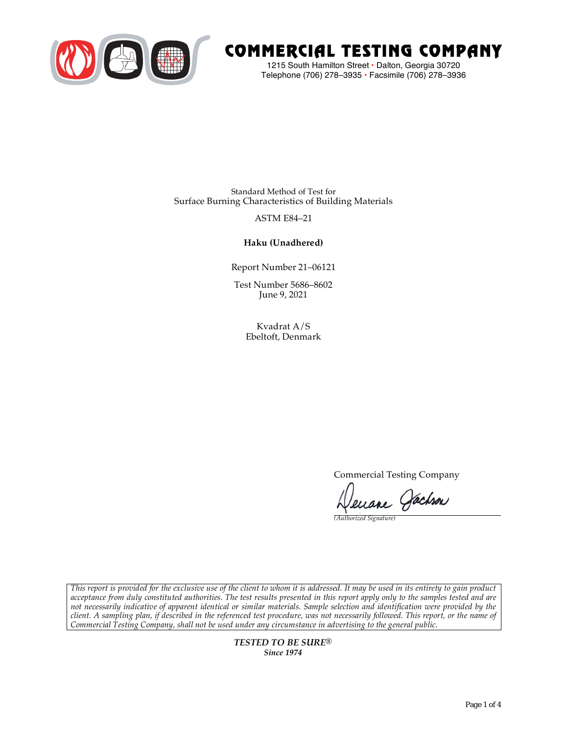

# COMMERCIAL TESTING COMPANY

1215 South Hamilton Street • Dalton, Georgia 30720 Telephone (706) 278–3935 **•** Facsimile (706) 278–3936

Standard Method of Test for Surface Burning Characteristics of Building Materials

## ASTM E84–21

### **Haku (Unadhered)**

Report Number 21–06121

Test Number 5686–8602 June 9, 2021

> Kvadrat A/S Ebeltoft, Denmark

> > Commercial Testing Company

Jenane Jachson

*(Authorized Signature)* 

*This report is provided for the exclusive use of the client to whom it is addressed. It may be used in its entirety to gain product acceptance from duly constituted authorities. The test results presented in this report apply only to the samples tested and are not necessarily indicative of apparent identical or similar materials. Sample selection and identification were provided by the client. A sampling plan, if described in the referenced test procedure, was not necessarily followed. This report, or the name of Commercial Testing Company, shall not be used under any circumstance in advertising to the general public.* 

> *TESTED TO BE SURE® Since 1974*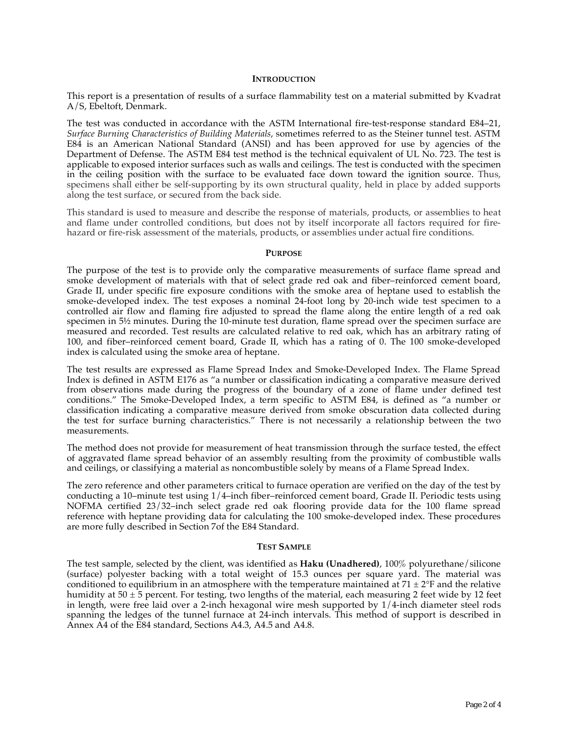#### **INTRODUCTION**

This report is a presentation of results of a surface flammability test on a material submitted by Kvadrat A/S, Ebeltoft, Denmark.

The test was conducted in accordance with the ASTM International fire-test-response standard E84–21, *Surface Burning Characteristics of Building Materials*, sometimes referred to as the Steiner tunnel test. ASTM E84 is an American National Standard (ANSI) and has been approved for use by agencies of the Department of Defense. The ASTM E84 test method is the technical equivalent of UL No. 723. The test is applicable to exposed interior surfaces such as walls and ceilings. The test is conducted with the specimen in the ceiling position with the surface to be evaluated face down toward the ignition source. Thus, specimens shall either be self-supporting by its own structural quality, held in place by added supports along the test surface, or secured from the back side.

This standard is used to measure and describe the response of materials, products, or assemblies to heat and flame under controlled conditions, but does not by itself incorporate all factors required for firehazard or fire-risk assessment of the materials, products, or assemblies under actual fire conditions.

#### **PURPOSE**

The purpose of the test is to provide only the comparative measurements of surface flame spread and smoke development of materials with that of select grade red oak and fiber–reinforced cement board, Grade II, under specific fire exposure conditions with the smoke area of heptane used to establish the smoke-developed index. The test exposes a nominal 24-foot long by 20-inch wide test specimen to a controlled air flow and flaming fire adjusted to spread the flame along the entire length of a red oak specimen in  $5\frac{1}{2}$  minutes. During the 10-minute test duration, flame spread over the specimen surface are measured and recorded. Test results are calculated relative to red oak, which has an arbitrary rating of 100, and fiber–reinforced cement board, Grade II, which has a rating of 0. The 100 smoke-developed index is calculated using the smoke area of heptane.

The test results are expressed as Flame Spread Index and Smoke-Developed Index. The Flame Spread Index is defined in ASTM E176 as "a number or classification indicating a comparative measure derived from observations made during the progress of the boundary of a zone of flame under defined test conditions." The Smoke-Developed Index, a term specific to ASTM E84, is defined as "a number or classification indicating a comparative measure derived from smoke obscuration data collected during the test for surface burning characteristics." There is not necessarily a relationship between the two measurements.

The method does not provide for measurement of heat transmission through the surface tested, the effect of aggravated flame spread behavior of an assembly resulting from the proximity of combustible walls and ceilings, or classifying a material as noncombustible solely by means of a Flame Spread Index.

The zero reference and other parameters critical to furnace operation are verified on the day of the test by conducting a 10–minute test using 1/4–inch fiber–reinforced cement board, Grade II. Periodic tests using NOFMA certified 23/32–inch select grade red oak flooring provide data for the 100 flame spread reference with heptane providing data for calculating the 100 smoke-developed index. These procedures are more fully described in Section 7of the E84 Standard.

#### **TEST SAMPLE**

The test sample, selected by the client, was identified as **Haku (Unadhered)**, 100% polyurethane/silicone (surface) polyester backing with a total weight of 15.3 ounces per square yard. The material was conditioned to equilibrium in an atmosphere with the temperature maintained at  $71 \pm 2$ °F and the relative humidity at  $50 \pm 5$  percent. For testing, two lengths of the material, each measuring 2 feet wide by 12 feet in length, were free laid over a 2-inch hexagonal wire mesh supported by 1/4-inch diameter steel rods spanning the ledges of the tunnel furnace at 24-inch intervals. This method of support is described in Annex A4 of the E84 standard, Sections A4.3, A4.5 and A4.8.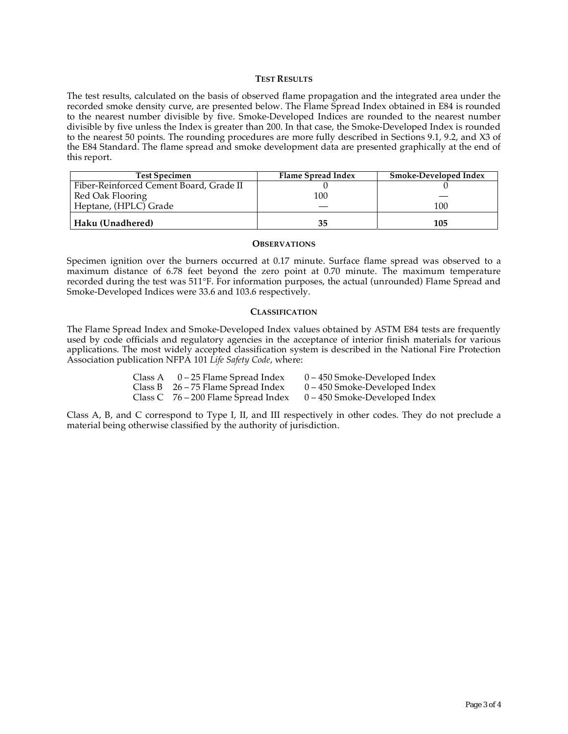#### **TEST RESULTS**

The test results, calculated on the basis of observed flame propagation and the integrated area under the recorded smoke density curve, are presented below. The Flame Spread Index obtained in E84 is rounded to the nearest number divisible by five. Smoke-Developed Indices are rounded to the nearest number divisible by five unless the Index is greater than 200. In that case, the Smoke-Developed Index is rounded to the nearest 50 points. The rounding procedures are more fully described in Sections 9.1, 9.2, and X3 of the E84 Standard. The flame spread and smoke development data are presented graphically at the end of this report.

| <b>Test Specimen</b>                    | Flame Spread Index | <b>Smoke-Developed Index</b> |
|-----------------------------------------|--------------------|------------------------------|
| Fiber-Reinforced Cement Board, Grade II |                    |                              |
| Red Oak Flooring                        | 100                |                              |
| Heptane, (HPLC) Grade                   |                    | 100                          |
| Haku (Unadhered)                        | 35                 | 105                          |

#### **OBSERVATIONS**

Specimen ignition over the burners occurred at 0.17 minute. Surface flame spread was observed to a maximum distance of 6.78 feet beyond the zero point at 0.70 minute. The maximum temperature recorded during the test was 511°F. For information purposes, the actual (unrounded) Flame Spread and Smoke-Developed Indices were 33.6 and 103.6 respectively.

#### **CLASSIFICATION**

The Flame Spread Index and Smoke-Developed Index values obtained by ASTM E84 tests are frequently used by code officials and regulatory agencies in the acceptance of interior finish materials for various applications. The most widely accepted classification system is described in the National Fire Protection Association publication NFPA 101 *Life Safety Code*, where:

| Class A $0-25$ Flame Spread Index     | $0 - 450$ Smoke-Developed Index |
|---------------------------------------|---------------------------------|
| Class B $26 - 75$ Flame Spread Index  | $0 - 450$ Smoke-Developed Index |
| Class C $76 - 200$ Flame Spread Index | $0 - 450$ Smoke-Developed Index |

Class A, B, and C correspond to Type I, II, and III respectively in other codes. They do not preclude a material being otherwise classified by the authority of jurisdiction.